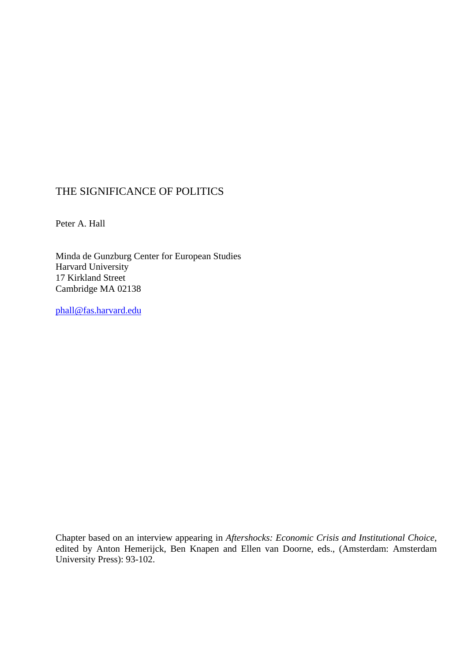# THE SIGNIFICANCE OF POLITICS

Peter A. Hall

Minda de Gunzburg Center for European Studies Harvard University 17 Kirkland Street Cambridge MA 02138

[phall@fas.harvard.edu](mailto:phall@fas.harvard.edu)

Chapter based on an interview appearing in *Aftershocks: Economic Crisis and Institutional Choice*, edited by Anton Hemerijck, Ben Knapen and Ellen van Doorne, eds., (Amsterdam: Amsterdam University Press): 93-102.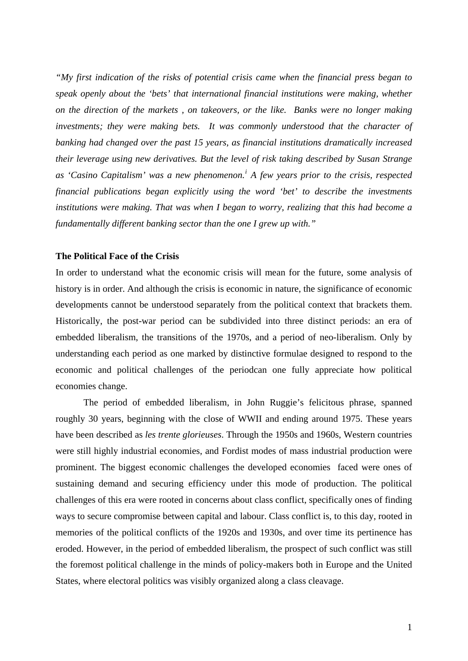*"My first indication of the risks of potential crisis came when the financial press began to speak openly about the 'bets' that international financial institutions were making, whether on the direction of the markets , on takeovers, or the like. Banks were no longer making investments; they were making bets. It was commonly understood that the character of banking had changed over the past 15 years, as financial institutions dramatically increased their leverage using new derivatives. But the level of risk taking described by Susan Strange as 'Casino Capitalism' was a new phenomenon.[i](#page-10-0) A few years prior to the crisis, respected financial publications began explicitly using the word 'bet' to describe the investments institutions were making. That was when I began to worry, realizing that this had become a fundamentally different banking sector than the one I grew up with."* 

## **The Political Face of the Crisis**

In order to understand what the economic crisis will mean for the future, some analysis of history is in order. And although the crisis is economic in nature, the significance of economic developments cannot be understood separately from the political context that brackets them. Historically, the post-war period can be subdivided into three distinct periods: an era of embedded liberalism, the transitions of the 1970s, and a period of neo-liberalism. Only by understanding each period as one marked by distinctive formulae designed to respond to the economic and political challenges of the periodcan one fully appreciate how political economies change.

 The period of embedded liberalism, in John Ruggie's felicitous phrase, spanned roughly 30 years, beginning with the close of WWII and ending around 1975. These years have been described as *les trente glorieuses*. Through the 1950s and 1960s, Western countries were still highly industrial economies, and Fordist modes of mass industrial production were prominent. The biggest economic challenges the developed economies faced were ones of sustaining demand and securing efficiency under this mode of production. The political challenges of this era were rooted in concerns about class conflict, specifically ones of finding ways to secure compromise between capital and labour. Class conflict is, to this day, rooted in memories of the political conflicts of the 1920s and 1930s, and over time its pertinence has eroded. However, in the period of embedded liberalism, the prospect of such conflict was still the foremost political challenge in the minds of policy-makers both in Europe and the United States, where electoral politics was visibly organized along a class cleavage.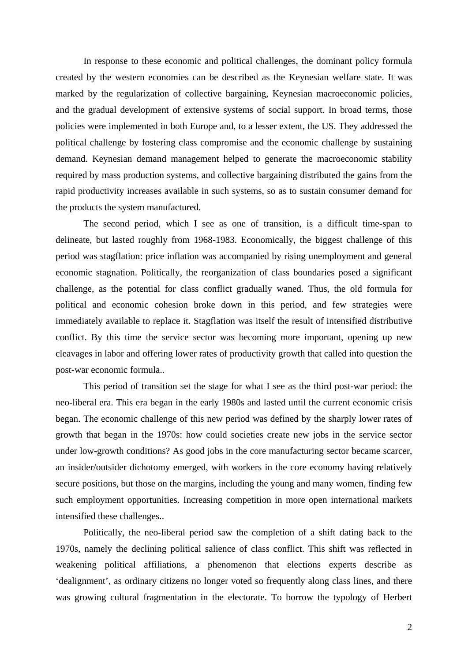In response to these economic and political challenges, the dominant policy formula created by the western economies can be described as the Keynesian welfare state. It was marked by the regularization of collective bargaining, Keynesian macroeconomic policies, and the gradual development of extensive systems of social support. In broad terms, those policies were implemented in both Europe and, to a lesser extent, the US. They addressed the political challenge by fostering class compromise and the economic challenge by sustaining demand. Keynesian demand management helped to generate the macroeconomic stability required by mass production systems, and collective bargaining distributed the gains from the rapid productivity increases available in such systems, so as to sustain consumer demand for the products the system manufactured.

 The second period, which I see as one of transition, is a difficult time-span to delineate, but lasted roughly from 1968-1983. Economically, the biggest challenge of this period was stagflation: price inflation was accompanied by rising unemployment and general economic stagnation. Politically, the reorganization of class boundaries posed a significant challenge, as the potential for class conflict gradually waned. Thus, the old formula for political and economic cohesion broke down in this period, and few strategies were immediately available to replace it. Stagflation was itself the result of intensified distributive conflict. By this time the service sector was becoming more important, opening up new cleavages in labor and offering lower rates of productivity growth that called into question the post-war economic formula..

 This period of transition set the stage for what I see as the third post-war period: the neo-liberal era. This era began in the early 1980s and lasted until the current economic crisis began. The economic challenge of this new period was defined by the sharply lower rates of growth that began in the 1970s: how could societies create new jobs in the service sector under low-growth conditions? As good jobs in the core manufacturing sector became scarcer, an insider/outsider dichotomy emerged, with workers in the core economy having relatively secure positions, but those on the margins, including the young and many women, finding few such employment opportunities. Increasing competition in more open international markets intensified these challenges..

 Politically, the neo-liberal period saw the completion of a shift dating back to the 1970s, namely the declining political salience of class conflict. This shift was reflected in weakening political affiliations, a phenomenon that elections experts describe as 'dealignment', as ordinary citizens no longer voted so frequently along class lines, and there was growing cultural fragmentation in the electorate. To borrow the typology of Herbert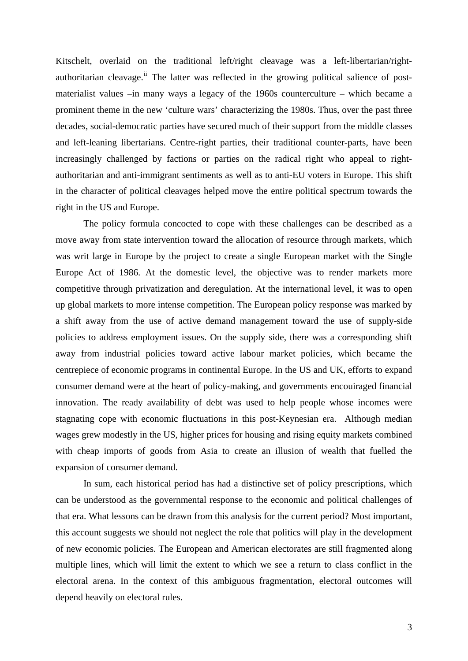Kitschelt, overlaid on the traditional left/right cleavage was a left-libertarian/rightauthoritarian cleavage.<sup>[ii](#page-10-1)</sup> The latter was reflected in the growing political salience of postmaterialist values –in many ways a legacy of the 1960s counterculture – which became a prominent theme in the new 'culture wars' characterizing the 1980s. Thus, over the past three decades, social-democratic parties have secured much of their support from the middle classes and left-leaning libertarians. Centre-right parties, their traditional counter-parts, have been increasingly challenged by factions or parties on the radical right who appeal to rightauthoritarian and anti-immigrant sentiments as well as to anti-EU voters in Europe. This shift in the character of political cleavages helped move the entire political spectrum towards the right in the US and Europe.

 The policy formula concocted to cope with these challenges can be described as a move away from state intervention toward the allocation of resource through markets, which was writ large in Europe by the project to create a single European market with the Single Europe Act of 1986. At the domestic level, the objective was to render markets more competitive through privatization and deregulation. At the international level, it was to open up global markets to more intense competition. The European policy response was marked by a shift away from the use of active demand management toward the use of supply-side policies to address employment issues. On the supply side, there was a corresponding shift away from industrial policies toward active labour market policies, which became the centrepiece of economic programs in continental Europe. In the US and UK, efforts to expand consumer demand were at the heart of policy-making, and governments encouiraged financial innovation. The ready availability of debt was used to help people whose incomes were stagnating cope with economic fluctuations in this post-Keynesian era. Although median wages grew modestly in the US, higher prices for housing and rising equity markets combined with cheap imports of goods from Asia to create an illusion of wealth that fuelled the expansion of consumer demand.

In sum, each historical period has had a distinctive set of policy prescriptions, which can be understood as the governmental response to the economic and political challenges of that era. What lessons can be drawn from this analysis for the current period? Most important, this account suggests we should not neglect the role that politics will play in the development of new economic policies. The European and American electorates are still fragmented along multiple lines, which will limit the extent to which we see a return to class conflict in the electoral arena. In the context of this ambiguous fragmentation, electoral outcomes will depend heavily on electoral rules.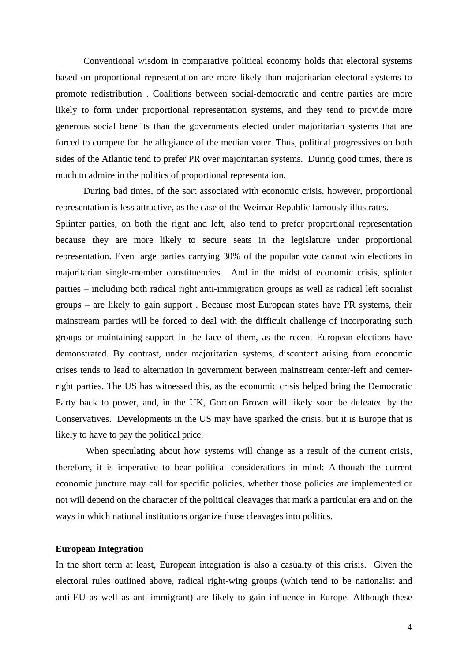Conventional wisdom in comparative political economy holds that electoral systems based on proportional representation are more likely than majoritarian electoral systems to promote redistribution . Coalitions between social-democratic and centre parties are more likely to form under proportional representation systems, and they tend to provide more generous social benefits than the governments elected under majoritarian systems that are forced to compete for the allegiance of the median voter. Thus, political progressives on both sides of the Atlantic tend to prefer PR over majoritarian systems. During good times, there is much to admire in the politics of proportional representation.

 During bad times, of the sort associated with economic crisis, however, proportional representation is less attractive, as the case of the Weimar Republic famously illustrates.

Splinter parties, on both the right and left, also tend to prefer proportional representation because they are more likely to secure seats in the legislature under proportional representation. Even large parties carrying 30% of the popular vote cannot win elections in majoritarian single-member constituencies. And in the midst of economic crisis, splinter parties – including both radical right anti-immigration groups as well as radical left socialist groups – are likely to gain support . Because most European states have PR systems, their mainstream parties will be forced to deal with the difficult challenge of incorporating such groups or maintaining support in the face of them, as the recent European elections have demonstrated. By contrast, under majoritarian systems, discontent arising from economic crises tends to lead to alternation in government between mainstream center-left and centerright parties. The US has witnessed this, as the economic crisis helped bring the Democratic Party back to power, and, in the UK, Gordon Brown will likely soon be defeated by the Conservatives. Developments in the US may have sparked the crisis, but it is Europe that is likely to have to pay the political price.

When speculating about how systems will change as a result of the current crisis, therefore, it is imperative to bear political considerations in mind: Although the current economic juncture may call for specific policies, whether those policies are implemented or not will depend on the character of the political cleavages that mark a particular era and on the ways in which national institutions organize those cleavages into politics.

### **European Integration**

In the short term at least, European integration is also a casualty of this crisis. Given the electoral rules outlined above, radical right-wing groups (which tend to be nationalist and anti-EU as well as anti-immigrant) are likely to gain influence in Europe. Although these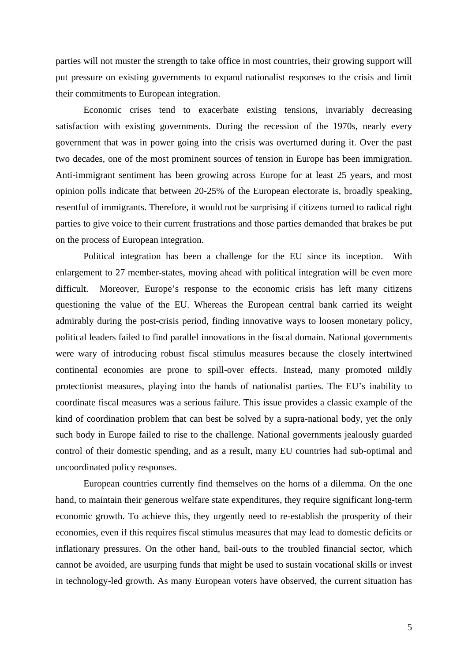parties will not muster the strength to take office in most countries, their growing support will put pressure on existing governments to expand nationalist responses to the crisis and limit their commitments to European integration.

Economic crises tend to exacerbate existing tensions, invariably decreasing satisfaction with existing governments. During the recession of the 1970s, nearly every government that was in power going into the crisis was overturned during it. Over the past two decades, one of the most prominent sources of tension in Europe has been immigration. Anti-immigrant sentiment has been growing across Europe for at least 25 years, and most opinion polls indicate that between 20-25% of the European electorate is, broadly speaking, resentful of immigrants. Therefore, it would not be surprising if citizens turned to radical right parties to give voice to their current frustrations and those parties demanded that brakes be put on the process of European integration.

Political integration has been a challenge for the EU since its inception. With enlargement to 27 member-states, moving ahead with political integration will be even more difficult. Moreover, Europe's response to the economic crisis has left many citizens questioning the value of the EU. Whereas the European central bank carried its weight admirably during the post-crisis period, finding innovative ways to loosen monetary policy, political leaders failed to find parallel innovations in the fiscal domain. National governments were wary of introducing robust fiscal stimulus measures because the closely intertwined continental economies are prone to spill-over effects. Instead, many promoted mildly protectionist measures, playing into the hands of nationalist parties. The EU's inability to coordinate fiscal measures was a serious failure. This issue provides a classic example of the kind of coordination problem that can best be solved by a supra-national body, yet the only such body in Europe failed to rise to the challenge. National governments jealously guarded control of their domestic spending, and as a result, many EU countries had sub-optimal and uncoordinated policy responses.

 European countries currently find themselves on the horns of a dilemma. On the one hand, to maintain their generous welfare state expenditures, they require significant long-term economic growth. To achieve this, they urgently need to re-establish the prosperity of their economies, even if this requires fiscal stimulus measures that may lead to domestic deficits or inflationary pressures. On the other hand, bail-outs to the troubled financial sector, which cannot be avoided, are usurping funds that might be used to sustain vocational skills or invest in technology-led growth. As many European voters have observed, the current situation has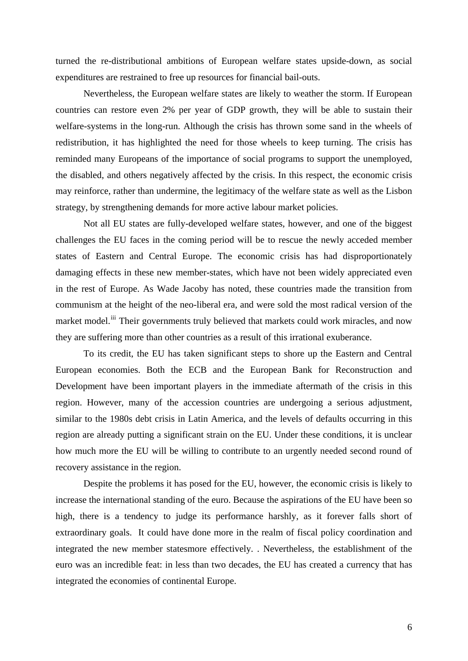turned the re-distributional ambitions of European welfare states upside-down, as social expenditures are restrained to free up resources for financial bail-outs.

 Nevertheless, the European welfare states are likely to weather the storm. If European countries can restore even 2% per year of GDP growth, they will be able to sustain their welfare-systems in the long-run. Although the crisis has thrown some sand in the wheels of redistribution, it has highlighted the need for those wheels to keep turning. The crisis has reminded many Europeans of the importance of social programs to support the unemployed, the disabled, and others negatively affected by the crisis. In this respect, the economic crisis may reinforce, rather than undermine, the legitimacy of the welfare state as well as the Lisbon strategy, by strengthening demands for more active labour market policies.

 Not all EU states are fully-developed welfare states, however, and one of the biggest challenges the EU faces in the coming period will be to rescue the newly acceded member states of Eastern and Central Europe. The economic crisis has had disproportionately damaging effects in these new member-states, which have not been widely appreciated even in the rest of Europe. As Wade Jacoby has noted, these countries made the transition from communism at the height of the neo-liberal era, and were sold the most radical version of the market model.<sup>[iii](#page-10-2)</sup> Their governments truly believed that markets could work miracles, and now they are suffering more than other countries as a result of this irrational exuberance.

 To its credit, the EU has taken significant steps to shore up the Eastern and Central European economies. Both the ECB and the European Bank for Reconstruction and Development have been important players in the immediate aftermath of the crisis in this region. However, many of the accession countries are undergoing a serious adjustment, similar to the 1980s debt crisis in Latin America, and the levels of defaults occurring in this region are already putting a significant strain on the EU. Under these conditions, it is unclear how much more the EU will be willing to contribute to an urgently needed second round of recovery assistance in the region.

Despite the problems it has posed for the EU, however, the economic crisis is likely to increase the international standing of the euro. Because the aspirations of the EU have been so high, there is a tendency to judge its performance harshly, as it forever falls short of extraordinary goals. It could have done more in the realm of fiscal policy coordination and integrated the new member statesmore effectively. . Nevertheless, the establishment of the euro was an incredible feat: in less than two decades, the EU has created a currency that has integrated the economies of continental Europe.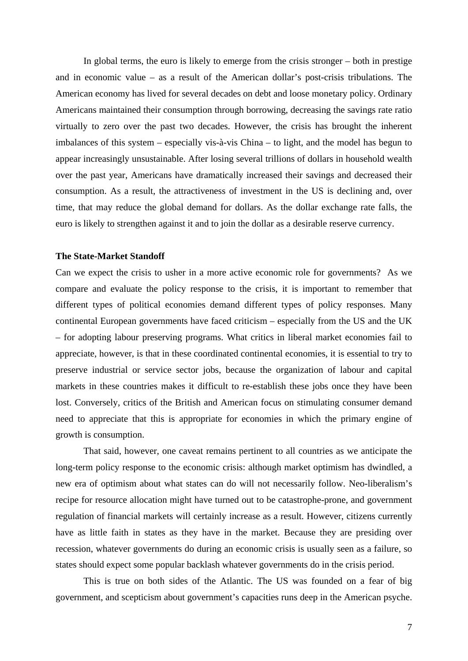In global terms, the euro is likely to emerge from the crisis stronger – both in prestige and in economic value – as a result of the American dollar's post-crisis tribulations. The American economy has lived for several decades on debt and loose monetary policy. Ordinary Americans maintained their consumption through borrowing, decreasing the savings rate ratio virtually to zero over the past two decades. However, the crisis has brought the inherent imbalances of this system – especially vis-à-vis China – to light, and the model has begun to appear increasingly unsustainable. After losing several trillions of dollars in household wealth over the past year, Americans have dramatically increased their savings and decreased their consumption. As a result, the attractiveness of investment in the US is declining and, over time, that may reduce the global demand for dollars. As the dollar exchange rate falls, the euro is likely to strengthen against it and to join the dollar as a desirable reserve currency.

## **The State-Market Standoff**

Can we expect the crisis to usher in a more active economic role for governments? As we compare and evaluate the policy response to the crisis, it is important to remember that different types of political economies demand different types of policy responses. Many continental European governments have faced criticism – especially from the US and the UK – for adopting labour preserving programs. What critics in liberal market economies fail to appreciate, however, is that in these coordinated continental economies, it is essential to try to preserve industrial or service sector jobs, because the organization of labour and capital markets in these countries makes it difficult to re-establish these jobs once they have been lost. Conversely, critics of the British and American focus on stimulating consumer demand need to appreciate that this is appropriate for economies in which the primary engine of growth is consumption.

 That said, however, one caveat remains pertinent to all countries as we anticipate the long-term policy response to the economic crisis: although market optimism has dwindled, a new era of optimism about what states can do will not necessarily follow. Neo-liberalism's recipe for resource allocation might have turned out to be catastrophe-prone, and government regulation of financial markets will certainly increase as a result. However, citizens currently have as little faith in states as they have in the market. Because they are presiding over recession, whatever governments do during an economic crisis is usually seen as a failure, so states should expect some popular backlash whatever governments do in the crisis period.

 This is true on both sides of the Atlantic. The US was founded on a fear of big government, and scepticism about government's capacities runs deep in the American psyche.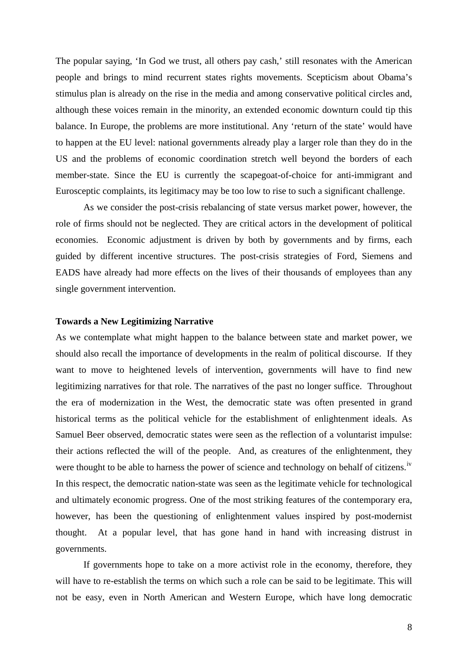The popular saying, 'In God we trust, all others pay cash,' still resonates with the American people and brings to mind recurrent states rights movements. Scepticism about Obama's stimulus plan is already on the rise in the media and among conservative political circles and, although these voices remain in the minority, an extended economic downturn could tip this balance. In Europe, the problems are more institutional. Any 'return of the state' would have to happen at the EU level: national governments already play a larger role than they do in the US and the problems of economic coordination stretch well beyond the borders of each member-state. Since the EU is currently the scapegoat-of-choice for anti-immigrant and Eurosceptic complaints, its legitimacy may be too low to rise to such a significant challenge.

 As we consider the post-crisis rebalancing of state versus market power, however, the role of firms should not be neglected. They are critical actors in the development of political economies. Economic adjustment is driven by both by governments and by firms, each guided by different incentive structures. The post-crisis strategies of Ford, Siemens and EADS have already had more effects on the lives of their thousands of employees than any single government intervention.

#### **Towards a New Legitimizing Narrative**

As we contemplate what might happen to the balance between state and market power, we should also recall the importance of developments in the realm of political discourse. If they want to move to heightened levels of intervention, governments will have to find new legitimizing narratives for that role. The narratives of the past no longer suffice. Throughout the era of modernization in the West, the democratic state was often presented in grand historical terms as the political vehicle for the establishment of enlightenment ideals. As Samuel Beer observed, democratic states were seen as the reflection of a voluntarist impulse: their actions reflected the will of the people. And, as creatures of the enlightenment, they were thought to be able to harness the power of science and technology on behalf of citizens.<sup>[iv](#page-10-3)</sup> In this respect, the democratic nation-state was seen as the legitimate vehicle for technological and ultimately economic progress. One of the most striking features of the contemporary era, however, has been the questioning of enlightenment values inspired by post-modernist thought. At a popular level, that has gone hand in hand with increasing distrust in governments.

If governments hope to take on a more activist role in the economy, therefore, they will have to re-establish the terms on which such a role can be said to be legitimate. This will not be easy, even in North American and Western Europe, which have long democratic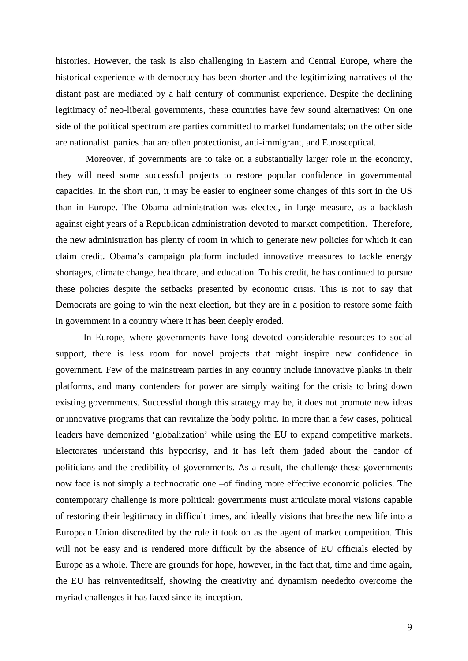histories. However, the task is also challenging in Eastern and Central Europe, where the historical experience with democracy has been shorter and the legitimizing narratives of the distant past are mediated by a half century of communist experience. Despite the declining legitimacy of neo-liberal governments, these countries have few sound alternatives: On one side of the political spectrum are parties committed to market fundamentals; on the other side are nationalist parties that are often protectionist, anti-immigrant, and Eurosceptical.

 Moreover, if governments are to take on a substantially larger role in the economy, they will need some successful projects to restore popular confidence in governmental capacities. In the short run, it may be easier to engineer some changes of this sort in the US than in Europe. The Obama administration was elected, in large measure, as a backlash against eight years of a Republican administration devoted to market competition. Therefore, the new administration has plenty of room in which to generate new policies for which it can claim credit. Obama's campaign platform included innovative measures to tackle energy shortages, climate change, healthcare, and education. To his credit, he has continued to pursue these policies despite the setbacks presented by economic crisis. This is not to say that Democrats are going to win the next election, but they are in a position to restore some faith in government in a country where it has been deeply eroded.

In Europe, where governments have long devoted considerable resources to social support, there is less room for novel projects that might inspire new confidence in government. Few of the mainstream parties in any country include innovative planks in their platforms, and many contenders for power are simply waiting for the crisis to bring down existing governments. Successful though this strategy may be, it does not promote new ideas or innovative programs that can revitalize the body politic. In more than a few cases, political leaders have demonized 'globalization' while using the EU to expand competitive markets. Electorates understand this hypocrisy, and it has left them jaded about the candor of politicians and the credibility of governments. As a result, the challenge these governments now face is not simply a technocratic one –of finding more effective economic policies. The contemporary challenge is more political: governments must articulate moral visions capable of restoring their legitimacy in difficult times, and ideally visions that breathe new life into a European Union discredited by the role it took on as the agent of market competition. This will not be easy and is rendered more difficult by the absence of EU officials elected by Europe as a whole. There are grounds for hope, however, in the fact that, time and time again, the EU has reinventeditself, showing the creativity and dynamism neededto overcome the myriad challenges it has faced since its inception.